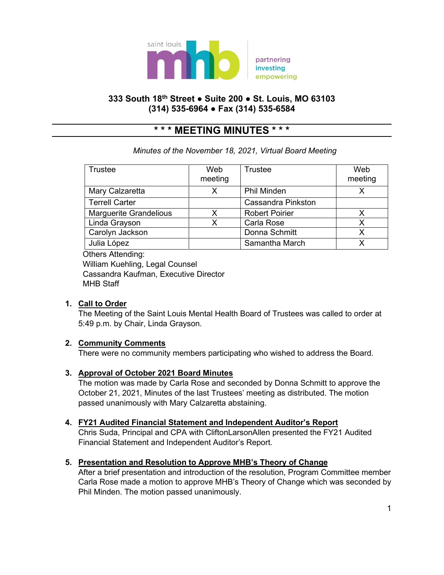

## **333 South 18th Street ● Suite 200 ● St. Louis, MO 63103 (314) 535-6964 ● Fax (314) 535-6584**

# **\* \* \* MEETING MINUTES \* \* \***

# *Minutes of the November 18, 2021, Virtual Board Meeting*

| Trustee                       | Web<br>meeting | Trustee                   | Web<br>meeting |
|-------------------------------|----------------|---------------------------|----------------|
| Mary Calzaretta               | x              | <b>Phil Minden</b>        |                |
| <b>Terrell Carter</b>         |                | <b>Cassandra Pinkston</b> |                |
| <b>Marguerite Grandelious</b> | Χ              | <b>Robert Poirier</b>     |                |
| Linda Grayson                 | x              | Carla Rose                |                |
| Carolyn Jackson               |                | Donna Schmitt             | x              |
| Julia López                   |                | Samantha March            |                |

 Others Attending: William Kuehling, Legal Counsel Cassandra Kaufman, Executive Director MHB Staff

## **1. Call to Order**

The Meeting of the Saint Louis Mental Health Board of Trustees was called to order at 5:49 p.m. by Chair, Linda Grayson.

## **2. Community Comments**

There were no community members participating who wished to address the Board.

## **3. Approval of October 2021 Board Minutes**

The motion was made by Carla Rose and seconded by Donna Schmitt to approve the October 21, 2021, Minutes of the last Trustees' meeting as distributed. The motion passed unanimously with Mary Calzaretta abstaining.

## **4. FY21 Audited Financial Statement and Independent Auditor's Report**

Chris Suda, Principal and CPA with CliftonLarsonAllen presented the FY21 Audited Financial Statement and Independent Auditor's Report.

## **5. Presentation and Resolution to Approve MHB's Theory of Change**

After a brief presentation and introduction of the resolution, Program Committee member Carla Rose made a motion to approve MHB's Theory of Change which was seconded by Phil Minden. The motion passed unanimously.